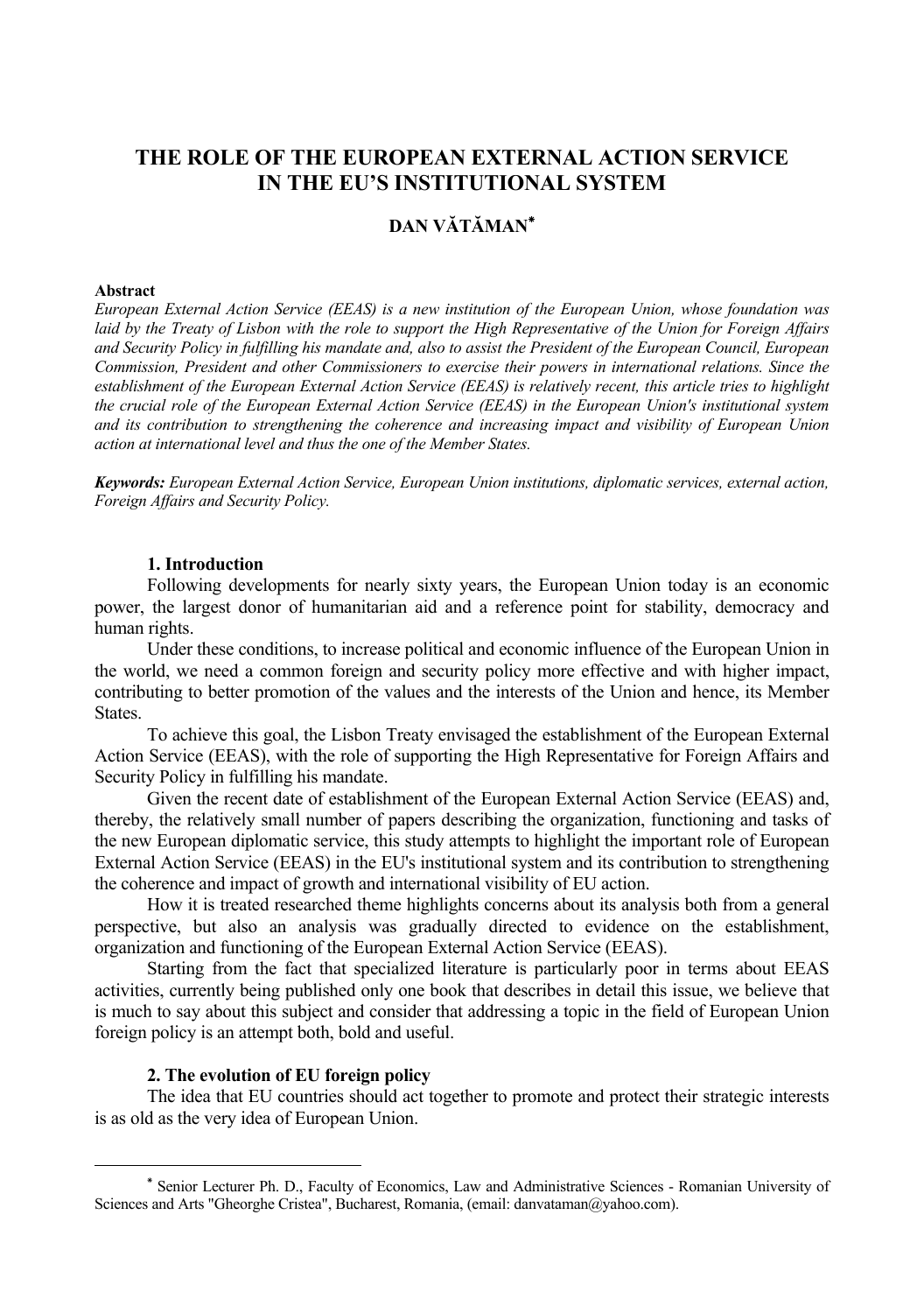# **THE ROLE OF THE EUROPEAN EXTERNAL ACTION SERVICE IN THE EU'S INSTITUTIONAL SYSTEM**

# **DAN VĂTĂMAN٭**

#### **Abstract**

*European External Action Service (EEAS) is a new institution of the European Union, whose foundation was laid by the Treaty of Lisbon with the role to support the High Representative of the Union for Foreign Affairs and Security Policy in fulfilling his mandate and, also to assist the President of the European Council, European Commission, President and other Commissioners to exercise their powers in international relations. Since the establishment of the European External Action Service (EEAS) is relatively recent, this article tries to highlight the crucial role of the European External Action Service (EEAS) in the European Union's institutional system and its contribution to strengthening the coherence and increasing impact and visibility of European Union action at international level and thus the one of the Member States.* 

*Keywords: European External Action Service, European Union institutions, diplomatic services, external action, Foreign Affairs and Security Policy.* 

#### **1. Introduction**

Following developments for nearly sixty years, the European Union today is an economic power, the largest donor of humanitarian aid and a reference point for stability, democracy and human rights.

Under these conditions, to increase political and economic influence of the European Union in the world, we need a common foreign and security policy more effective and with higher impact, contributing to better promotion of the values and the interests of the Union and hence, its Member **States**.

To achieve this goal, the Lisbon Treaty envisaged the establishment of the European External Action Service (EEAS), with the role of supporting the High Representative for Foreign Affairs and Security Policy in fulfilling his mandate.

Given the recent date of establishment of the European External Action Service (EEAS) and, thereby, the relatively small number of papers describing the organization, functioning and tasks of the new European diplomatic service, this study attempts to highlight the important role of European External Action Service (EEAS) in the EU's institutional system and its contribution to strengthening the coherence and impact of growth and international visibility of EU action.

How it is treated researched theme highlights concerns about its analysis both from a general perspective, but also an analysis was gradually directed to evidence on the establishment, organization and functioning of the European External Action Service (EEAS).

Starting from the fact that specialized literature is particularly poor in terms about EEAS activities, currently being published only one book that describes in detail this issue, we believe that is much to say about this subject and consider that addressing a topic in the field of European Union foreign policy is an attempt both, bold and useful.

## **2. The evolution of EU foreign policy**

The idea that EU countries should act together to promote and protect their strategic interests is as old as the very idea of European Union.

<sup>٭</sup> Senior Lecturer Ph. D., Faculty of Economics, Law and Administrative Sciences - Romanian University of Sciences and Arts "Gheorghe Cristea", Bucharest, Romania, (email: danvataman@yahoo.com).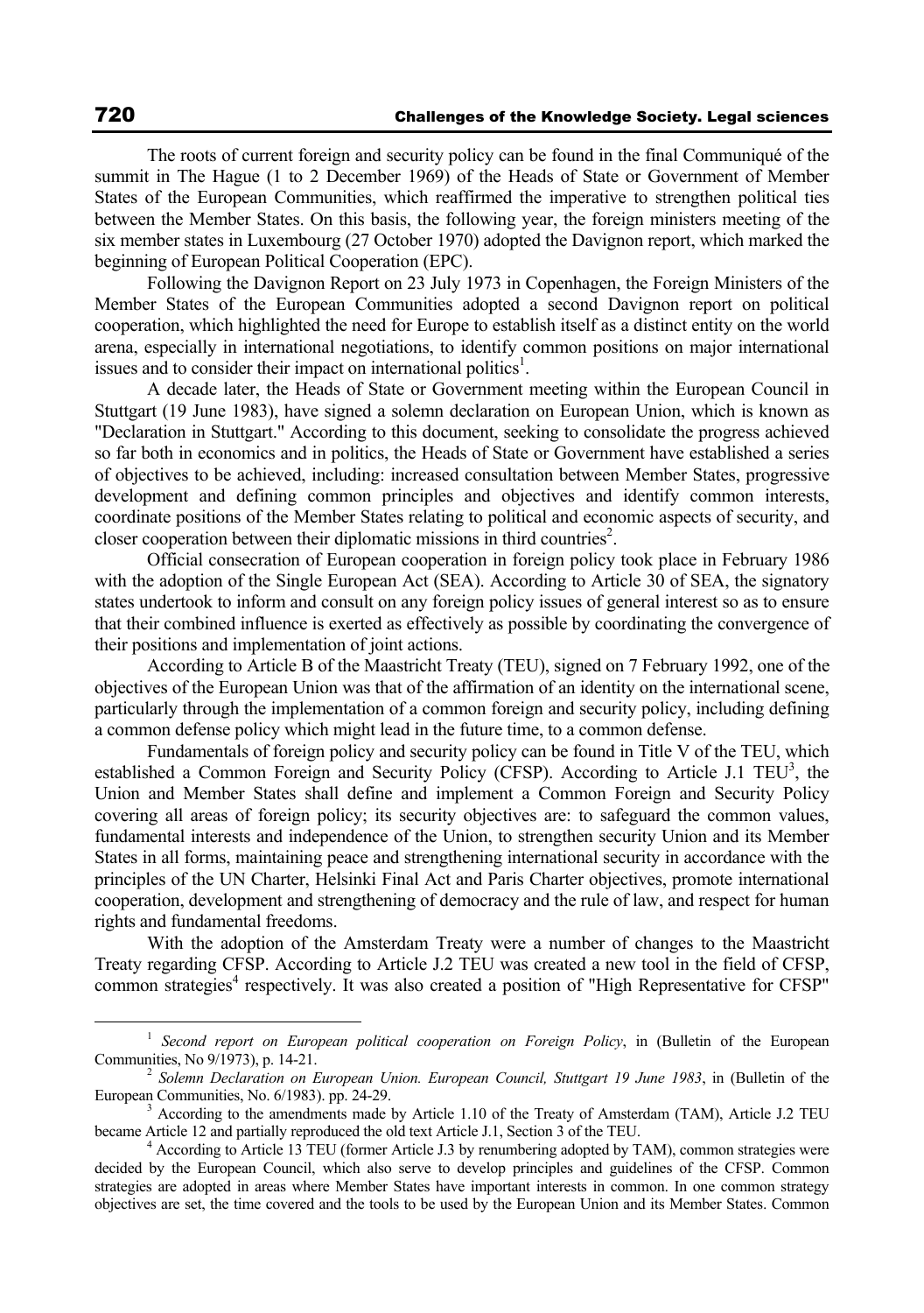The roots of current foreign and security policy can be found in the final Communiqué of the summit in The Hague (1 to 2 December 1969) of the Heads of State or Government of Member States of the European Communities, which reaffirmed the imperative to strengthen political ties between the Member States. On this basis, the following year, the foreign ministers meeting of the six member states in Luxembourg (27 October 1970) adopted the Davignon report, which marked the beginning of European Political Cooperation (EPC).

Following the Davignon Report on 23 July 1973 in Copenhagen, the Foreign Ministers of the Member States of the European Communities adopted a second Davignon report on political cooperation, which highlighted the need for Europe to establish itself as a distinct entity on the world arena, especially in international negotiations, to identify common positions on major international issues and to consider their impact on international politics<sup>1</sup>.

A decade later, the Heads of State or Government meeting within the European Council in Stuttgart (19 June 1983), have signed a solemn declaration on European Union, which is known as "Declaration in Stuttgart." According to this document, seeking to consolidate the progress achieved so far both in economics and in politics, the Heads of State or Government have established a series of objectives to be achieved, including: increased consultation between Member States, progressive development and defining common principles and objectives and identify common interests, coordinate positions of the Member States relating to political and economic aspects of security, and closer cooperation between their diplomatic missions in third countries<sup>2</sup>.

Official consecration of European cooperation in foreign policy took place in February 1986 with the adoption of the Single European Act (SEA). According to Article 30 of SEA, the signatory states undertook to inform and consult on any foreign policy issues of general interest so as to ensure that their combined influence is exerted as effectively as possible by coordinating the convergence of their positions and implementation of joint actions.

According to Article B of the Maastricht Treaty (TEU), signed on 7 February 1992, one of the objectives of the European Union was that of the affirmation of an identity on the international scene, particularly through the implementation of a common foreign and security policy, including defining a common defense policy which might lead in the future time, to a common defense.

Fundamentals of foreign policy and security policy can be found in Title V of the TEU, which established a Common Foreign and Security Policy (CFSP). According to Article J.1 TEU<sup>3</sup>, the Union and Member States shall define and implement a Common Foreign and Security Policy covering all areas of foreign policy; its security objectives are: to safeguard the common values, fundamental interests and independence of the Union, to strengthen security Union and its Member States in all forms, maintaining peace and strengthening international security in accordance with the principles of the UN Charter, Helsinki Final Act and Paris Charter objectives, promote international cooperation, development and strengthening of democracy and the rule of law, and respect for human rights and fundamental freedoms.

With the adoption of the Amsterdam Treaty were a number of changes to the Maastricht Treaty regarding CFSP. According to Article J.2 TEU was created a new tool in the field of CFSP, common strategies<sup>4</sup> respectively. It was also created a position of "High Representative for CFSP"

<sup>&</sup>lt;sup>1</sup> *Second report on European political cooperation on Foreign Policy*, in (Bulletin of the European Communities, No 9/1973), p. 14-21.

<sup>&</sup>lt;sup>2</sup> Solemn Declaration on European Union. European Council, Stuttgart 19 June 1983, in (Bulletin of the European Communities, No. 6/1983). pp. 24-29.

 $A<sup>3</sup>$  According to the amendments made by Article 1.10 of the Treaty of Amsterdam (TAM), Article J.2 TEU became Article 12 and partially reproduced the old text Article J.1, Section 3 of the TEU. 4

According to Article 13 TEU (former Article J.3 by renumbering adopted by TAM), common strategies were decided by the European Council, which also serve to develop principles and guidelines of the CFSP. Common strategies are adopted in areas where Member States have important interests in common. In one common strategy objectives are set, the time covered and the tools to be used by the European Union and its Member States. Common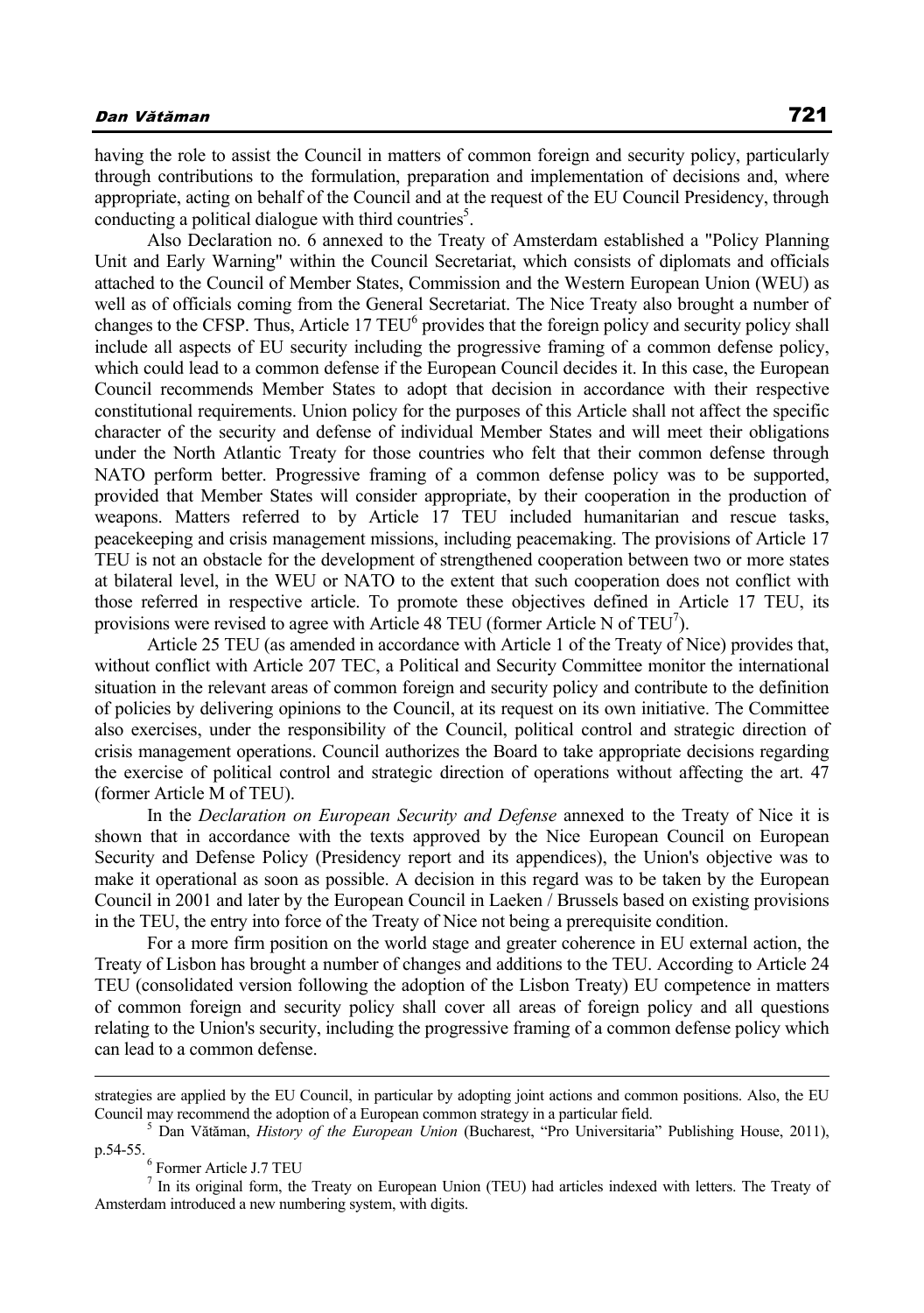having the role to assist the Council in matters of common foreign and security policy, particularly through contributions to the formulation, preparation and implementation of decisions and, where appropriate, acting on behalf of the Council and at the request of the EU Council Presidency, through conducting a political dialogue with third countries<sup>5</sup>.

Also Declaration no. 6 annexed to the Treaty of Amsterdam established a "Policy Planning Unit and Early Warning" within the Council Secretariat, which consists of diplomats and officials attached to the Council of Member States, Commission and the Western European Union (WEU) as well as of officials coming from the General Secretariat. The Nice Treaty also brought a number of changes to the CFSP. Thus, Article 17 TEU<sup>6</sup> provides that the foreign policy and security policy shall include all aspects of EU security including the progressive framing of a common defense policy, which could lead to a common defense if the European Council decides it. In this case, the European Council recommends Member States to adopt that decision in accordance with their respective constitutional requirements. Union policy for the purposes of this Article shall not affect the specific character of the security and defense of individual Member States and will meet their obligations under the North Atlantic Treaty for those countries who felt that their common defense through NATO perform better. Progressive framing of a common defense policy was to be supported, provided that Member States will consider appropriate, by their cooperation in the production of weapons. Matters referred to by Article 17 TEU included humanitarian and rescue tasks, peacekeeping and crisis management missions, including peacemaking. The provisions of Article 17 TEU is not an obstacle for the development of strengthened cooperation between two or more states at bilateral level, in the WEU or NATO to the extent that such cooperation does not conflict with those referred in respective article. To promote these objectives defined in Article 17 TEU, its provisions were revised to agree with Article 48 TEU (former Article N of TEU<sup>7</sup>).

Article 25 TEU (as amended in accordance with Article 1 of the Treaty of Nice) provides that, without conflict with Article 207 TEC, a Political and Security Committee monitor the international situation in the relevant areas of common foreign and security policy and contribute to the definition of policies by delivering opinions to the Council, at its request on its own initiative. The Committee also exercises, under the responsibility of the Council, political control and strategic direction of crisis management operations. Council authorizes the Board to take appropriate decisions regarding the exercise of political control and strategic direction of operations without affecting the art. 47 (former Article M of TEU).

In the *Declaration on European Security and Defense* annexed to the Treaty of Nice it is shown that in accordance with the texts approved by the Nice European Council on European Security and Defense Policy (Presidency report and its appendices), the Union's objective was to make it operational as soon as possible. A decision in this regard was to be taken by the European Council in 2001 and later by the European Council in Laeken / Brussels based on existing provisions in the TEU, the entry into force of the Treaty of Nice not being a prerequisite condition.

For a more firm position on the world stage and greater coherence in EU external action, the Treaty of Lisbon has brought a number of changes and additions to the TEU. According to Article 24 TEU (consolidated version following the adoption of the Lisbon Treaty) EU competence in matters of common foreign and security policy shall cover all areas of foreign policy and all questions relating to the Union's security, including the progressive framing of a common defense policy which can lead to a common defense.

Former Article J.7 TEU

strategies are applied by the EU Council, in particular by adopting joint actions and common positions. Also, the EU Council may recommend the adoption of a European common strategy in a particular field. 5

Dan Vătăman, *History of the European Union* (Bucharest, "Pro Universitaria" Publishing House, 2011), p.54-55.

<sup>&</sup>lt;sup>7</sup> In its original form, the Treaty on European Union (TEU) had articles indexed with letters. The Treaty of Amsterdam introduced a new numbering system, with digits.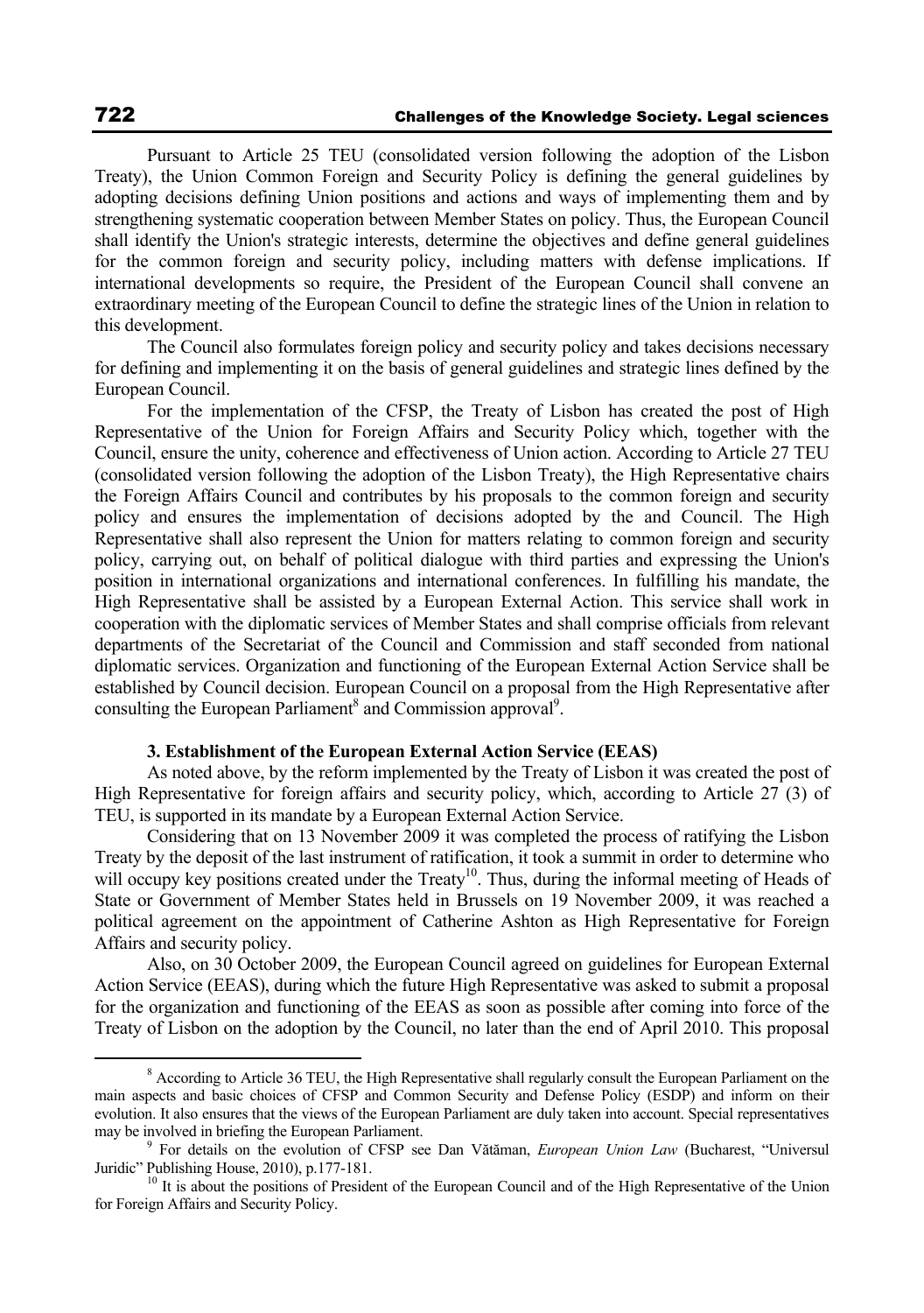Pursuant to Article 25 TEU (consolidated version following the adoption of the Lisbon Treaty), the Union Common Foreign and Security Policy is defining the general guidelines by adopting decisions defining Union positions and actions and ways of implementing them and by strengthening systematic cooperation between Member States on policy. Thus, the European Council shall identify the Union's strategic interests, determine the objectives and define general guidelines for the common foreign and security policy, including matters with defense implications. If international developments so require, the President of the European Council shall convene an extraordinary meeting of the European Council to define the strategic lines of the Union in relation to this development.

The Council also formulates foreign policy and security policy and takes decisions necessary for defining and implementing it on the basis of general guidelines and strategic lines defined by the European Council.

For the implementation of the CFSP, the Treaty of Lisbon has created the post of High Representative of the Union for Foreign Affairs and Security Policy which, together with the Council, ensure the unity, coherence and effectiveness of Union action. According to Article 27 TEU (consolidated version following the adoption of the Lisbon Treaty), the High Representative chairs the Foreign Affairs Council and contributes by his proposals to the common foreign and security policy and ensures the implementation of decisions adopted by the and Council. The High Representative shall also represent the Union for matters relating to common foreign and security policy, carrying out, on behalf of political dialogue with third parties and expressing the Union's position in international organizations and international conferences. In fulfilling his mandate, the High Representative shall be assisted by a European External Action. This service shall work in cooperation with the diplomatic services of Member States and shall comprise officials from relevant departments of the Secretariat of the Council and Commission and staff seconded from national diplomatic services. Organization and functioning of the European External Action Service shall be established by Council decision. European Council on a proposal from the High Representative after consulting the European Parliament<sup>8</sup> and Commission approval<sup>9</sup>.

### **3. Establishment of the European External Action Service (EEAS)**

As noted above, by the reform implemented by the Treaty of Lisbon it was created the post of High Representative for foreign affairs and security policy, which, according to Article 27 (3) of TEU, is supported in its mandate by a European External Action Service.

Considering that on 13 November 2009 it was completed the process of ratifying the Lisbon Treaty by the deposit of the last instrument of ratification, it took a summit in order to determine who will occupy key positions created under the Treaty<sup>10</sup>. Thus, during the informal meeting of Heads of State or Government of Member States held in Brussels on 19 November 2009, it was reached a political agreement on the appointment of Catherine Ashton as High Representative for Foreign Affairs and security policy.

Also, on 30 October 2009, the European Council agreed on guidelines for European External Action Service (EEAS), during which the future High Representative was asked to submit a proposal for the organization and functioning of the EEAS as soon as possible after coming into force of the Treaty of Lisbon on the adoption by the Council, no later than the end of April 2010. This proposal

 $\frac{1}{8}$ <sup>8</sup> According to Article 36 TEU, the High Representative shall regularly consult the European Parliament on the main aspects and basic choices of CFSP and Common Security and Defense Policy (ESDP) and inform on their evolution. It also ensures that the views of the European Parliament are duly taken into account. Special representatives may be involved in briefing the European Parliament.

For details on the evolution of CFSP see Dan Vătăman, *European Union Law* (Bucharest, "Universul Juridic" Publishing House, 2010), p.177-181.<br><sup>10</sup> It is about the positions of President of the European Council and of the High Representative of the Union

for Foreign Affairs and Security Policy.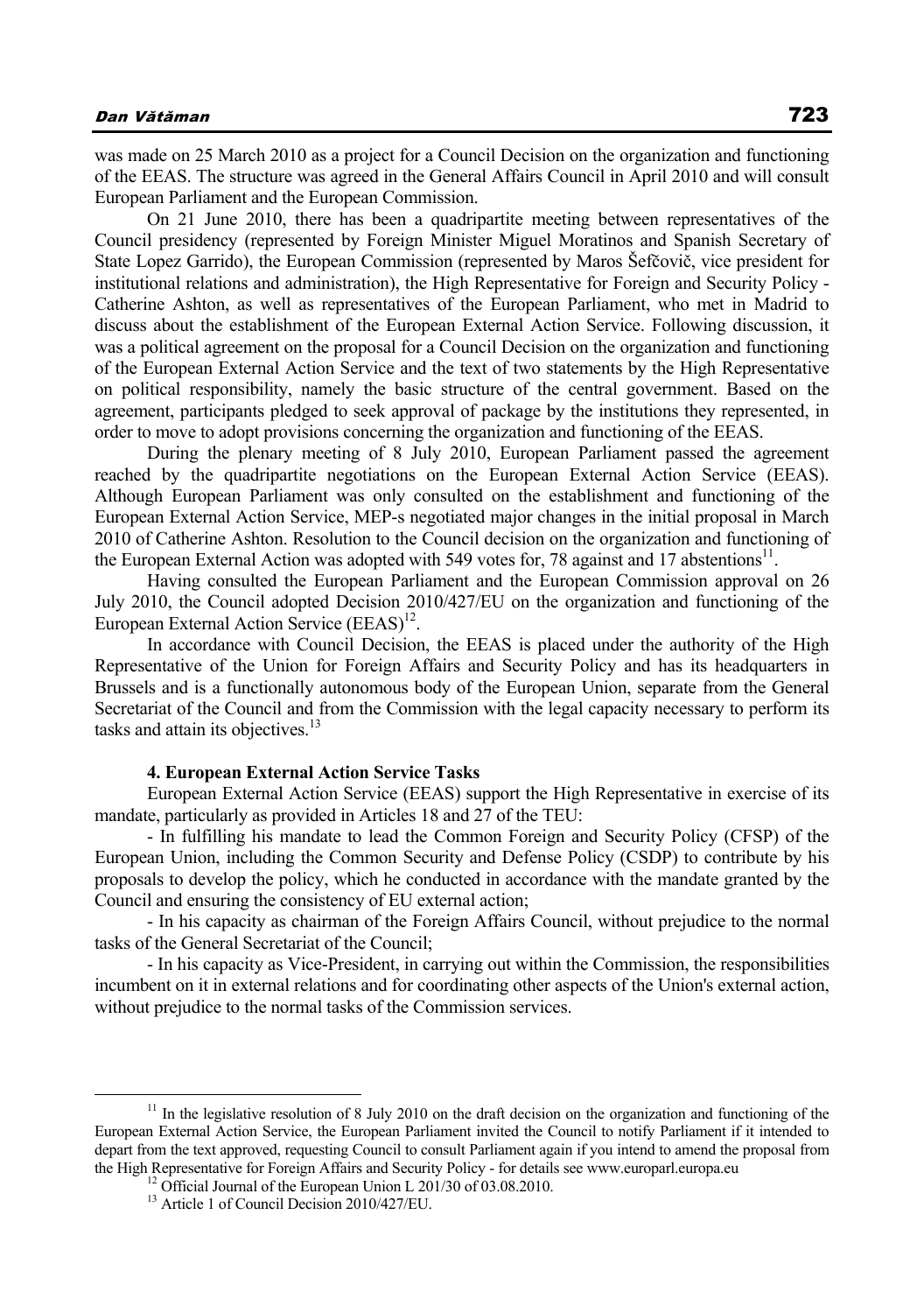was made on 25 March 2010 as a project for a Council Decision on the organization and functioning of the EEAS. The structure was agreed in the General Affairs Council in April 2010 and will consult European Parliament and the European Commission.

On 21 June 2010, there has been a quadripartite meeting between representatives of the Council presidency (represented by Foreign Minister Miguel Moratinos and Spanish Secretary of State Lopez Garrido), the European Commission (represented by Maros Šefčovič, vice president for institutional relations and administration), the High Representative for Foreign and Security Policy - Catherine Ashton, as well as representatives of the European Parliament, who met in Madrid to discuss about the establishment of the European External Action Service. Following discussion, it was a political agreement on the proposal for a Council Decision on the organization and functioning of the European External Action Service and the text of two statements by the High Representative on political responsibility, namely the basic structure of the central government. Based on the agreement, participants pledged to seek approval of package by the institutions they represented, in order to move to adopt provisions concerning the organization and functioning of the EEAS.

During the plenary meeting of 8 July 2010, European Parliament passed the agreement reached by the quadripartite negotiations on the European External Action Service (EEAS). Although European Parliament was only consulted on the establishment and functioning of the European External Action Service, MEP-s negotiated major changes in the initial proposal in March 2010 of Catherine Ashton. Resolution to the Council decision on the organization and functioning of the European External Action was adopted with 549 votes for, 78 against and 17 abstentions<sup>11</sup>.

Having consulted the European Parliament and the European Commission approval on 26 July 2010, the Council adopted Decision 2010/427/EU on the organization and functioning of the European External Action Service  $(EEAS)^{12}$ .

In accordance with Council Decision, the EEAS is placed under the authority of the High Representative of the Union for Foreign Affairs and Security Policy and has its headquarters in Brussels and is a functionally autonomous body of the European Union, separate from the General Secretariat of the Council and from the Commission with the legal capacity necessary to perform its tasks and attain its objectives.<sup>13</sup>

## **4. European External Action Service Tasks**

European External Action Service (EEAS) support the High Representative in exercise of its mandate, particularly as provided in Articles 18 and 27 of the TEU:

- In fulfilling his mandate to lead the Common Foreign and Security Policy (CFSP) of the European Union, including the Common Security and Defense Policy (CSDP) to contribute by his proposals to develop the policy, which he conducted in accordance with the mandate granted by the Council and ensuring the consistency of EU external action;

- In his capacity as chairman of the Foreign Affairs Council, without prejudice to the normal tasks of the General Secretariat of the Council;

- In his capacity as Vice-President, in carrying out within the Commission, the responsibilities incumbent on it in external relations and for coordinating other aspects of the Union's external action, without prejudice to the normal tasks of the Commission services.

<sup>&</sup>lt;sup>11</sup> In the legislative resolution of 8 July 2010 on the draft decision on the organization and functioning of the European External Action Service, the European Parliament invited the Council to notify Parliament if it intended to depart from the text approved, requesting Council to consult Parliament again if you intend to amend the proposal from the High Representative for Foreign Affairs and Security Policy - for details see www.europarl.europa.eu <sup>12</sup> Official Journal of the European Union L 201/30 of 03.08.2010.

<sup>&</sup>lt;sup>13</sup> Article 1 of Council Decision 2010/427/EU.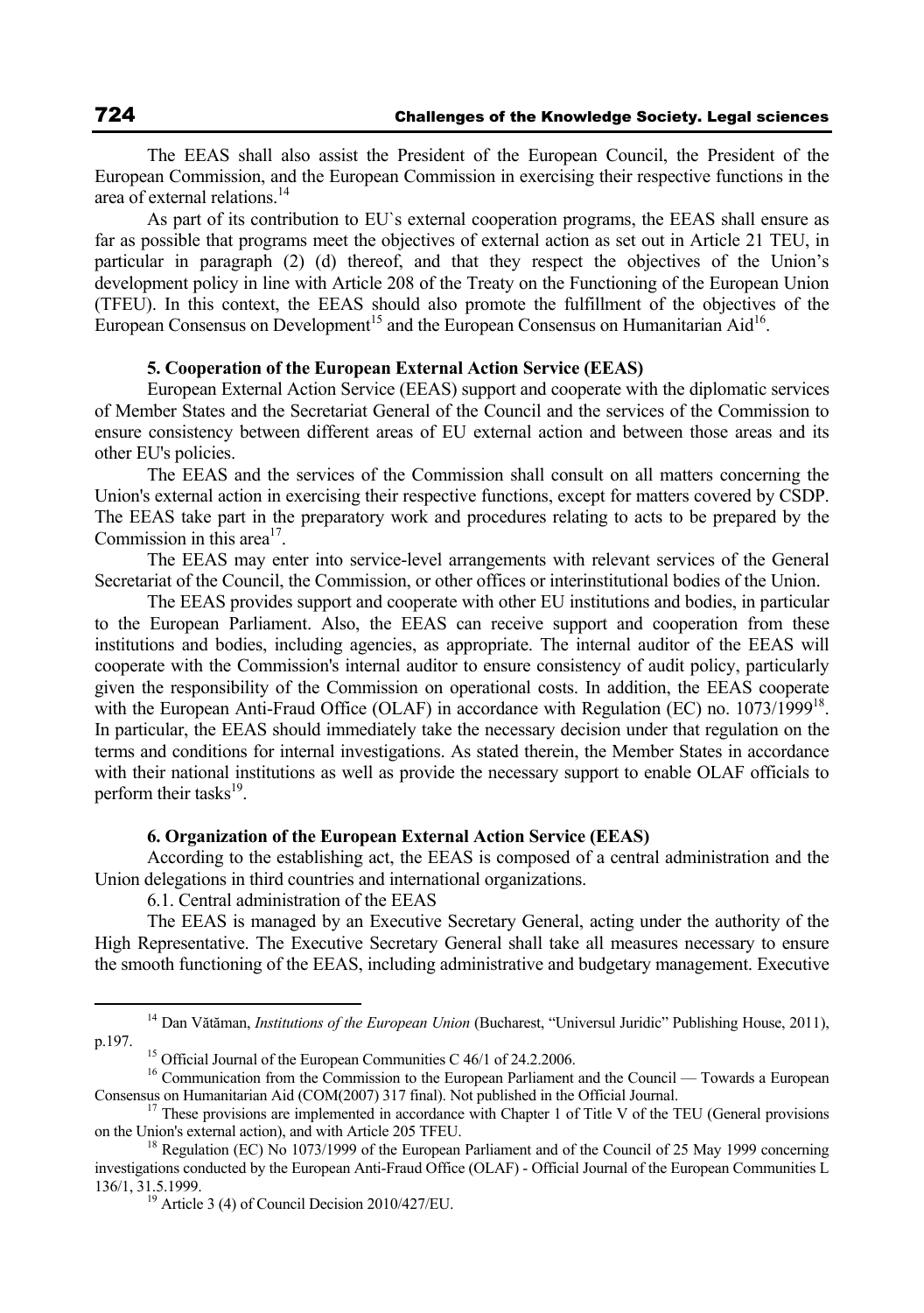The EEAS shall also assist the President of the European Council, the President of the European Commission, and the European Commission in exercising their respective functions in the area of external relations.14

As part of its contribution to EU`s external cooperation programs, the EEAS shall ensure as far as possible that programs meet the objectives of external action as set out in Article 21 TEU, in particular in paragraph (2) (d) thereof, and that they respect the objectives of the Union's development policy in line with Article 208 of the Treaty on the Functioning of the European Union (TFEU). In this context, the EEAS should also promote the fulfillment of the objectives of the European Consensus on Development<sup>15</sup> and the European Consensus on Humanitarian Aid<sup>16</sup>.

## **5. Cooperation of the European External Action Service (EEAS)**

European External Action Service (EEAS) support and cooperate with the diplomatic services of Member States and the Secretariat General of the Council and the services of the Commission to ensure consistency between different areas of EU external action and between those areas and its other EU's policies.

The EEAS and the services of the Commission shall consult on all matters concerning the Union's external action in exercising their respective functions, except for matters covered by CSDP. The EEAS take part in the preparatory work and procedures relating to acts to be prepared by the Commission in this area<sup>17</sup>.

The EEAS may enter into service-level arrangements with relevant services of the General Secretariat of the Council, the Commission, or other offices or interinstitutional bodies of the Union.

The EEAS provides support and cooperate with other EU institutions and bodies, in particular to the European Parliament. Also, the EEAS can receive support and cooperation from these institutions and bodies, including agencies, as appropriate. The internal auditor of the EEAS will cooperate with the Commission's internal auditor to ensure consistency of audit policy, particularly given the responsibility of the Commission on operational costs. In addition, the EEAS cooperate with the European Anti-Fraud Office (OLAF) in accordance with Regulation (EC) no. 1073/1999<sup>18</sup>. In particular, the EEAS should immediately take the necessary decision under that regulation on the terms and conditions for internal investigations. As stated therein, the Member States in accordance with their national institutions as well as provide the necessary support to enable OLAF officials to perform their tasks $^{19}$ .

### **6. Organization of the European External Action Service (EEAS)**

According to the establishing act, the EEAS is composed of a central administration and the Union delegations in third countries and international organizations.

6.1. Central administration of the EEAS

The EEAS is managed by an Executive Secretary General, acting under the authority of the High Representative. The Executive Secretary General shall take all measures necessary to ensure the smooth functioning of the EEAS, including administrative and budgetary management. Executive

<sup>&</sup>lt;sup>14</sup> Dan Vătăman, *Institutions of the European Union* (Bucharest, "Universul Juridic" Publishing House, 2011), p.197.

<sup>&</sup>lt;sup>15</sup> Official Journal of the European Communities C 46/1 of 24.2.2006.

<sup>&</sup>lt;sup>16</sup> Communication from the Commission to the European Parliament and the Council — Towards a European

Consensus on Humanitarian Aid (COM(2007) 317 final). Not published in the Official Journal.<br><sup>17</sup> These provisions are implemented in accordance with Chapter 1 of Title V of the TEU (General provisions on the Union's extern

<sup>&</sup>lt;sup>18</sup> Regulation (EC) No 1073/1999 of the European Parliament and of the Council of 25 May 1999 concerning investigations conducted by the European Anti-Fraud Office (OLAF) - Official Journal of the European Communities L 136/1, 31.5.1999.<br><sup>19</sup> Article 3 (4) of Council Decision 2010/427/EU.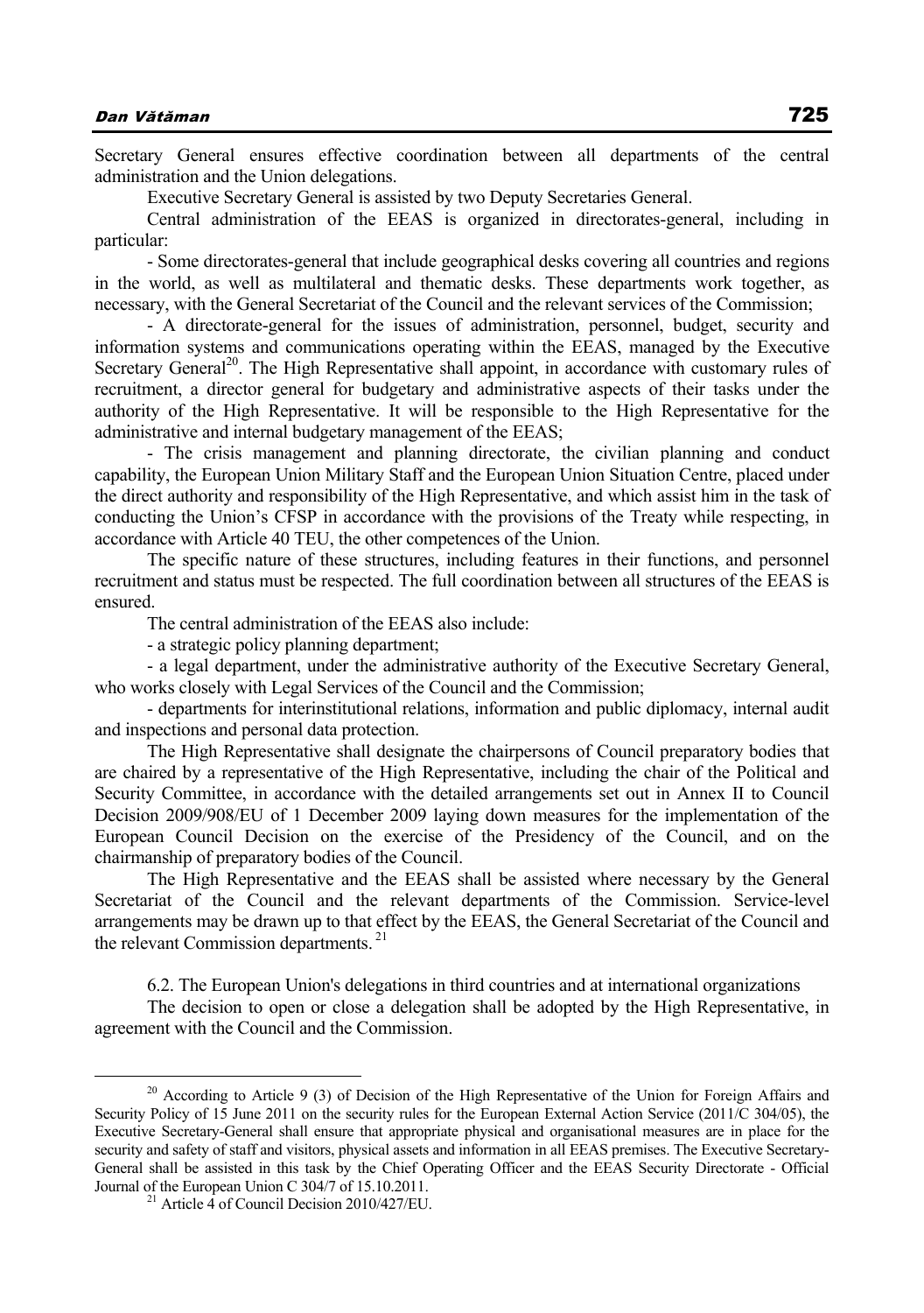Secretary General ensures effective coordination between all departments of the central administration and the Union delegations.

Executive Secretary General is assisted by two Deputy Secretaries General.

Central administration of the EEAS is organized in directorates-general, including in particular:

- Some directorates-general that include geographical desks covering all countries and regions in the world, as well as multilateral and thematic desks. These departments work together, as necessary, with the General Secretariat of the Council and the relevant services of the Commission;

- A directorate-general for the issues of administration, personnel, budget, security and information systems and communications operating within the EEAS, managed by the Executive Secretary General<sup>20</sup>. The High Representative shall appoint, in accordance with customary rules of recruitment, a director general for budgetary and administrative aspects of their tasks under the authority of the High Representative. It will be responsible to the High Representative for the administrative and internal budgetary management of the EEAS;

- The crisis management and planning directorate, the civilian planning and conduct capability, the European Union Military Staff and the European Union Situation Centre, placed under the direct authority and responsibility of the High Representative, and which assist him in the task of conducting the Union's CFSP in accordance with the provisions of the Treaty while respecting, in accordance with Article 40 TEU, the other competences of the Union.

The specific nature of these structures, including features in their functions, and personnel recruitment and status must be respected. The full coordination between all structures of the EEAS is ensured.

The central administration of the EEAS also include:

- a strategic policy planning department;

- a legal department, under the administrative authority of the Executive Secretary General, who works closely with Legal Services of the Council and the Commission;

- departments for interinstitutional relations, information and public diplomacy, internal audit and inspections and personal data protection.

The High Representative shall designate the chairpersons of Council preparatory bodies that are chaired by a representative of the High Representative, including the chair of the Political and Security Committee, in accordance with the detailed arrangements set out in Annex II to Council Decision 2009/908/EU of 1 December 2009 laying down measures for the implementation of the European Council Decision on the exercise of the Presidency of the Council, and on the chairmanship of preparatory bodies of the Council.

The High Representative and the EEAS shall be assisted where necessary by the General Secretariat of the Council and the relevant departments of the Commission. Service-level arrangements may be drawn up to that effect by the EEAS, the General Secretariat of the Council and the relevant Commission departments.<sup>21</sup>

6.2. The European Union's delegations in third countries and at international organizations

The decision to open or close a delegation shall be adopted by the High Representative, in agreement with the Council and the Commission.

 $20$  According to Article 9 (3) of Decision of the High Representative of the Union for Foreign Affairs and Security Policy of 15 June 2011 on the security rules for the European External Action Service (2011/C 304/05), the Executive Secretary-General shall ensure that appropriate physical and organisational measures are in place for the security and safety of staff and visitors, physical assets and information in all EEAS premises. The Executive Secretary-General shall be assisted in this task by the Chief Operating Officer and the EEAS Security Directorate - Official Journal of the European Union C 304/7 of 15.10.2011. 21 Article 4 of Council Decision 2010/427/EU.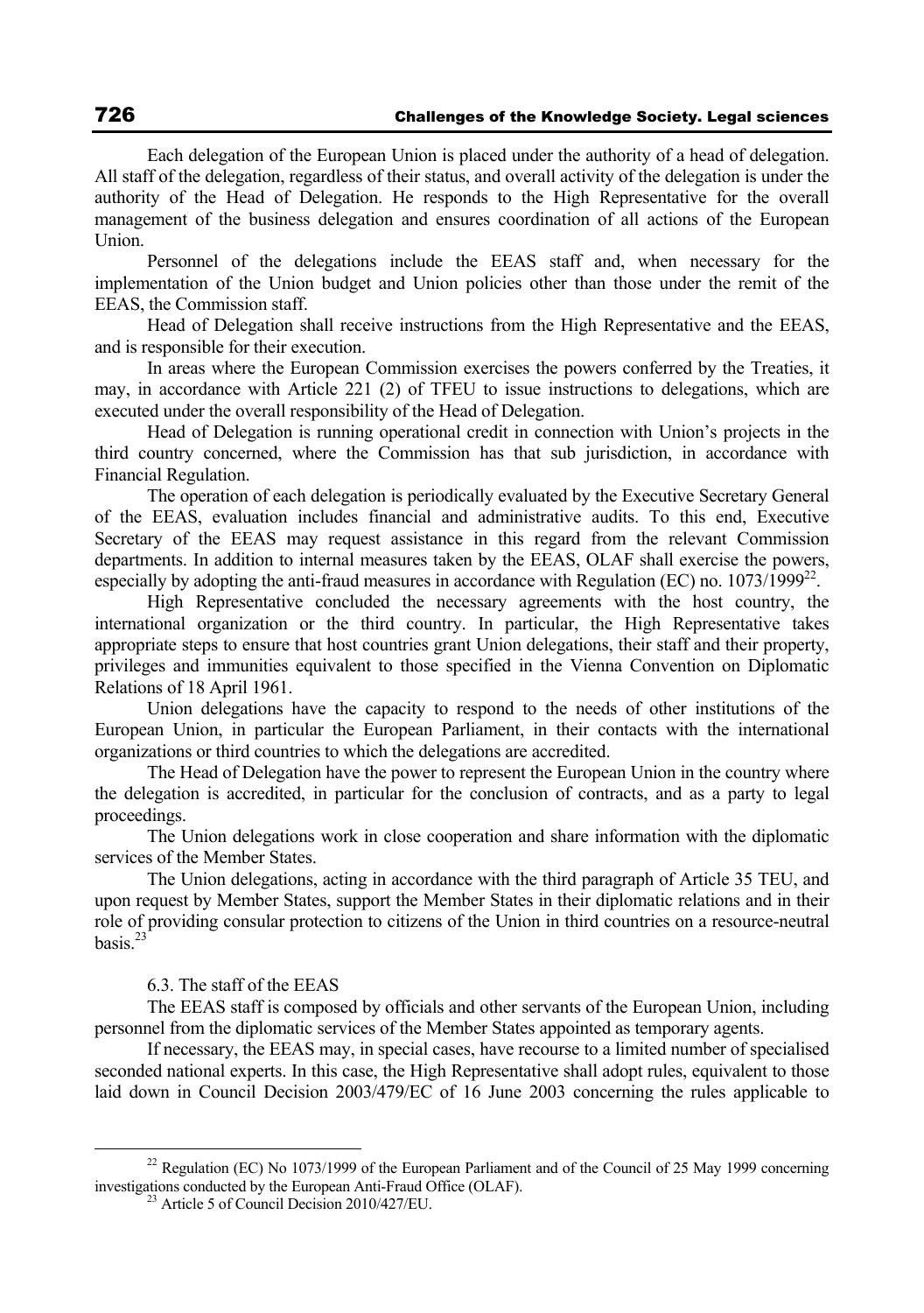Each delegation of the European Union is placed under the authority of a head of delegation. All staff of the delegation, regardless of their status, and overall activity of the delegation is under the authority of the Head of Delegation. He responds to the High Representative for the overall management of the business delegation and ensures coordination of all actions of the European Union.

Personnel of the delegations include the EEAS staff and, when necessary for the implementation of the Union budget and Union policies other than those under the remit of the EEAS, the Commission staff.

Head of Delegation shall receive instructions from the High Representative and the EEAS, and is responsible for their execution.

In areas where the European Commission exercises the powers conferred by the Treaties, it may, in accordance with Article 221 (2) of TFEU to issue instructions to delegations, which are executed under the overall responsibility of the Head of Delegation.

Head of Delegation is running operational credit in connection with Union's projects in the third country concerned, where the Commission has that sub jurisdiction, in accordance with Financial Regulation.

The operation of each delegation is periodically evaluated by the Executive Secretary General of the EEAS, evaluation includes financial and administrative audits. To this end, Executive Secretary of the EEAS may request assistance in this regard from the relevant Commission departments. In addition to internal measures taken by the EEAS, OLAF shall exercise the powers, especially by adopting the anti-fraud measures in accordance with Regulation (EC) no.  $1073/1999^{22}$ .

High Representative concluded the necessary agreements with the host country, the international organization or the third country. In particular, the High Representative takes appropriate steps to ensure that host countries grant Union delegations, their staff and their property, privileges and immunities equivalent to those specified in the Vienna Convention on Diplomatic Relations of 18 April 1961.

Union delegations have the capacity to respond to the needs of other institutions of the European Union, in particular the European Parliament, in their contacts with the international organizations or third countries to which the delegations are accredited.

The Head of Delegation have the power to represent the European Union in the country where the delegation is accredited, in particular for the conclusion of contracts, and as a party to legal proceedings.

The Union delegations work in close cooperation and share information with the diplomatic services of the Member States.

The Union delegations, acting in accordance with the third paragraph of Article 35 TEU, and upon request by Member States, support the Member States in their diplomatic relations and in their role of providing consular protection to citizens of the Union in third countries on a resource-neutral basis.23

## 6.3. The staff of the EEAS

The EEAS staff is composed by officials and other servants of the European Union, including personnel from the diplomatic services of the Member States appointed as temporary agents.

If necessary, the EEAS may, in special cases, have recourse to a limited number of specialised seconded national experts. In this case, the High Representative shall adopt rules, equivalent to those laid down in Council Decision 2003/479/EC of 16 June 2003 concerning the rules applicable to

<sup>&</sup>lt;sup>22</sup> Regulation (EC) No 1073/1999 of the European Parliament and of the Council of 25 May 1999 concerning investigations conducted by the European Anti-Fraud Office (OLAF). 23 Article 5 of Council Decision 2010/427/EU.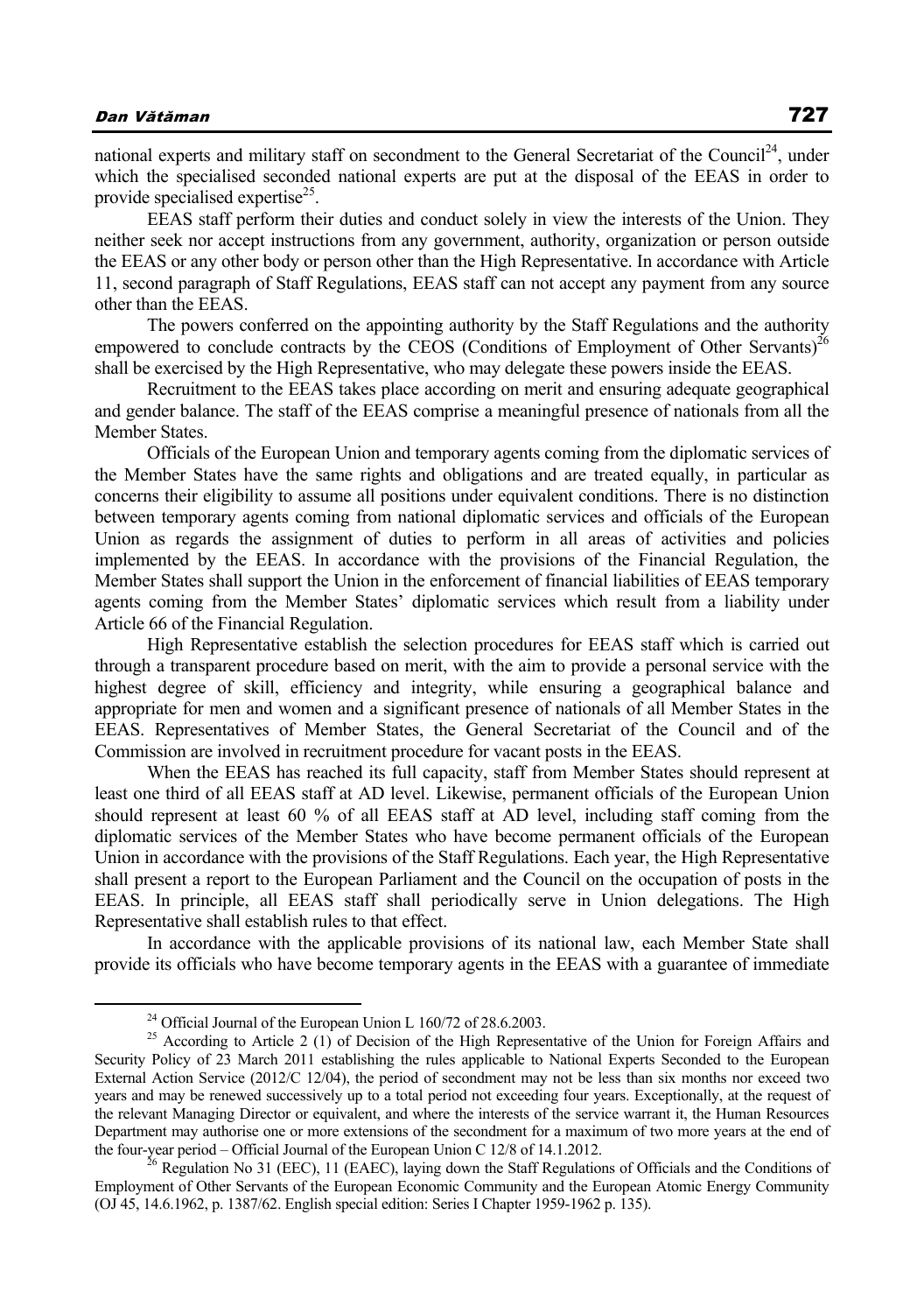national experts and military staff on secondment to the General Secretariat of the Council<sup>24</sup>, under which the specialised seconded national experts are put at the disposal of the EEAS in order to provide specialised expertise $^{25}$ .

EEAS staff perform their duties and conduct solely in view the interests of the Union. They neither seek nor accept instructions from any government, authority, organization or person outside the EEAS or any other body or person other than the High Representative. In accordance with Article 11, second paragraph of Staff Regulations, EEAS staff can not accept any payment from any source other than the EEAS.

The powers conferred on the appointing authority by the Staff Regulations and the authority empowered to conclude contracts by the CEOS (Conditions of Employment of Other Servants)<sup>26</sup> shall be exercised by the High Representative, who may delegate these powers inside the EEAS.

Recruitment to the EEAS takes place according on merit and ensuring adequate geographical and gender balance. The staff of the EEAS comprise a meaningful presence of nationals from all the Member States.

Officials of the European Union and temporary agents coming from the diplomatic services of the Member States have the same rights and obligations and are treated equally, in particular as concerns their eligibility to assume all positions under equivalent conditions. There is no distinction between temporary agents coming from national diplomatic services and officials of the European Union as regards the assignment of duties to perform in all areas of activities and policies implemented by the EEAS. In accordance with the provisions of the Financial Regulation, the Member States shall support the Union in the enforcement of financial liabilities of EEAS temporary agents coming from the Member States' diplomatic services which result from a liability under Article 66 of the Financial Regulation.

High Representative establish the selection procedures for EEAS staff which is carried out through a transparent procedure based on merit, with the aim to provide a personal service with the highest degree of skill, efficiency and integrity, while ensuring a geographical balance and appropriate for men and women and a significant presence of nationals of all Member States in the EEAS. Representatives of Member States, the General Secretariat of the Council and of the Commission are involved in recruitment procedure for vacant posts in the EEAS.

When the EEAS has reached its full capacity, staff from Member States should represent at least one third of all EEAS staff at AD level. Likewise, permanent officials of the European Union should represent at least 60 % of all EEAS staff at AD level, including staff coming from the diplomatic services of the Member States who have become permanent officials of the European Union in accordance with the provisions of the Staff Regulations. Each year, the High Representative shall present a report to the European Parliament and the Council on the occupation of posts in the EEAS. In principle, all EEAS staff shall periodically serve in Union delegations. The High Representative shall establish rules to that effect.

In accordance with the applicable provisions of its national law, each Member State shall provide its officials who have become temporary agents in the EEAS with a guarantee of immediate

 <sup>24</sup> Official Journal of the European Union L 160/72 of 28.6.2003.

<sup>&</sup>lt;sup>25</sup> According to Article 2 (1) of Decision of the High Representative of the Union for Foreign Affairs and Security Policy of 23 March 2011 establishing the rules applicable to National Experts Seconded to the European External Action Service (2012/C 12/04), the period of secondment may not be less than six months nor exceed two years and may be renewed successively up to a total period not exceeding four years. Exceptionally, at the request of the relevant Managing Director or equivalent, and where the interests of the service warrant it, the Human Resources Department may authorise one or more extensions of the secondment for a maximum of two more years at the end of the four-year period – Official Journal of the European Union C 12/8 of 14.1.2012.<br><sup>26</sup> Regulation No 31 (EEC), 11 (EAEC), laying down the Staff Regulations of Officials and the Conditions of

Employment of Other Servants of the European Economic Community and the European Atomic Energy Community (OJ 45, 14.6.1962, p. 1387/62. English special edition: Series I Chapter 1959-1962 p. 135).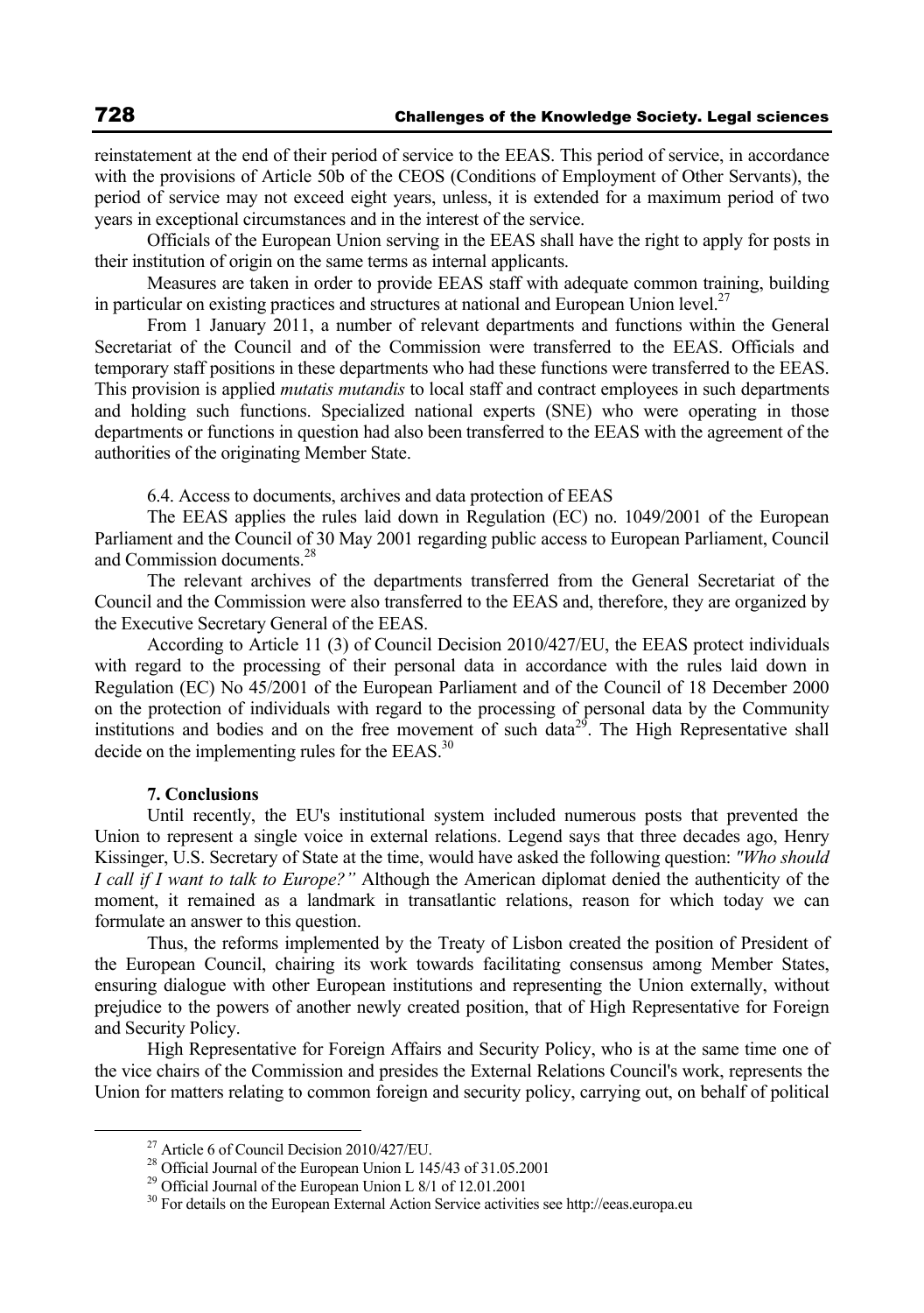reinstatement at the end of their period of service to the EEAS. This period of service, in accordance with the provisions of Article 50b of the CEOS (Conditions of Employment of Other Servants), the period of service may not exceed eight years, unless, it is extended for a maximum period of two years in exceptional circumstances and in the interest of the service.

Officials of the European Union serving in the EEAS shall have the right to apply for posts in their institution of origin on the same terms as internal applicants.

Measures are taken in order to provide EEAS staff with adequate common training, building in particular on existing practices and structures at national and European Union level.<sup>27</sup>

From 1 January 2011, a number of relevant departments and functions within the General Secretariat of the Council and of the Commission were transferred to the EEAS. Officials and temporary staff positions in these departments who had these functions were transferred to the EEAS. This provision is applied *mutatis mutandis* to local staff and contract employees in such departments and holding such functions. Specialized national experts (SNE) who were operating in those departments or functions in question had also been transferred to the EEAS with the agreement of the authorities of the originating Member State.

6.4. Access to documents, archives and data protection of EEAS

The EEAS applies the rules laid down in Regulation (EC) no. 1049/2001 of the European Parliament and the Council of 30 May 2001 regarding public access to European Parliament, Council and Commission documents.28

The relevant archives of the departments transferred from the General Secretariat of the Council and the Commission were also transferred to the EEAS and, therefore, they are organized by the Executive Secretary General of the EEAS.

According to Article 11 (3) of Council Decision 2010/427/EU, the EEAS protect individuals with regard to the processing of their personal data in accordance with the rules laid down in Regulation (EC) No 45/2001 of the European Parliament and of the Council of 18 December 2000 on the protection of individuals with regard to the processing of personal data by the Community institutions and bodies and on the free movement of such data<sup>29</sup>. The High Representative shall decide on the implementing rules for the EEAS.<sup>30</sup>

## **7. Conclusions**

Until recently, the EU's institutional system included numerous posts that prevented the Union to represent a single voice in external relations. Legend says that three decades ago, Henry Kissinger, U.S. Secretary of State at the time, would have asked the following question: *"Who should I call if I want to talk to Europe?"* Although the American diplomat denied the authenticity of the moment, it remained as a landmark in transatlantic relations, reason for which today we can formulate an answer to this question.

Thus, the reforms implemented by the Treaty of Lisbon created the position of President of the European Council, chairing its work towards facilitating consensus among Member States, ensuring dialogue with other European institutions and representing the Union externally, without prejudice to the powers of another newly created position, that of High Representative for Foreign and Security Policy.

High Representative for Foreign Affairs and Security Policy, who is at the same time one of the vice chairs of the Commission and presides the External Relations Council's work, represents the Union for matters relating to common foreign and security policy, carrying out, on behalf of political

<sup>&</sup>lt;sup>27</sup> Article 6 of Council Decision 2010/427/EU.

<sup>28</sup> Official Journal of the European Union L 145/43 of 31.05.2001

<sup>&</sup>lt;sup>29</sup> Official Journal of the European Union L 8/1 of 12.01.2001

<sup>&</sup>lt;sup>30</sup> For details on the European External Action Service activities see http://eeas.europa.eu